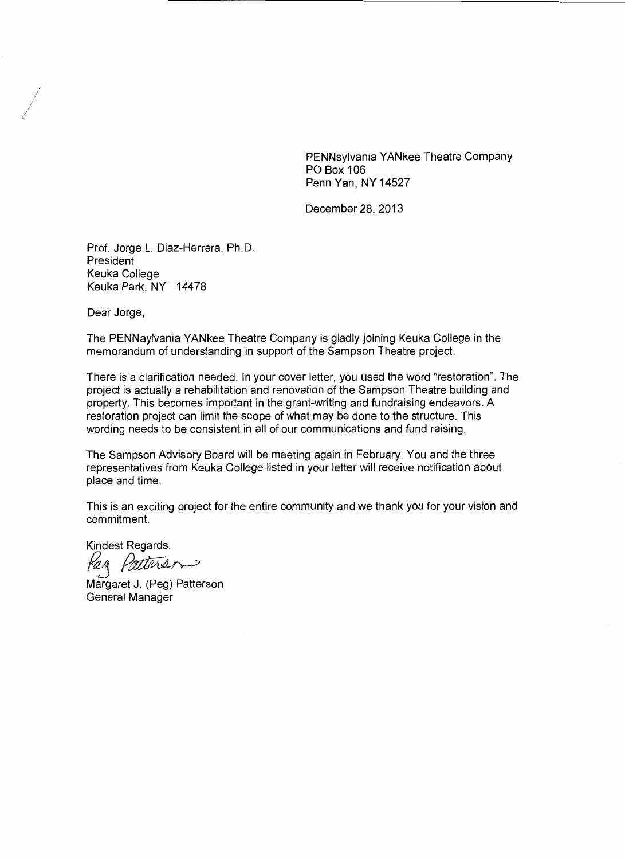PENNsylvania YANkee Theatre Company PO Box 106 Penn Yan, NY 14527

December 28, 2013

Prof. Jorge L. Diaz-Herrera, Ph.D. President Keuka College Keuka Park, NY 14478

Dear Jorge,

The PENNaylvania YANkee Theatre Company is gladly joining Keuka College in the memorandum of understanding in support of the Sampson Theatre project.

There is a clarification needed. In your cover letter, you used the word "restoration". The project is actually a rehabilitation and renovation of the Sampson Theatre building and property. This becomes important in the grant-writing and fundraising endeavors. A restoration project can limit the scope of what may be done to the structure. This wording needs to be consistent in all of our communications and fund raising.

The Sampson Advisory Board will be meeting again in February. You and the three representatives from Keuka College listed in your letter will receive notification about place and time.

This is an exciting project for the entire community and we thank you for your vision and commitment.

Kindest Regards,

keg *Patters*<br>Margaret J. (Peg) Patterson

General Manager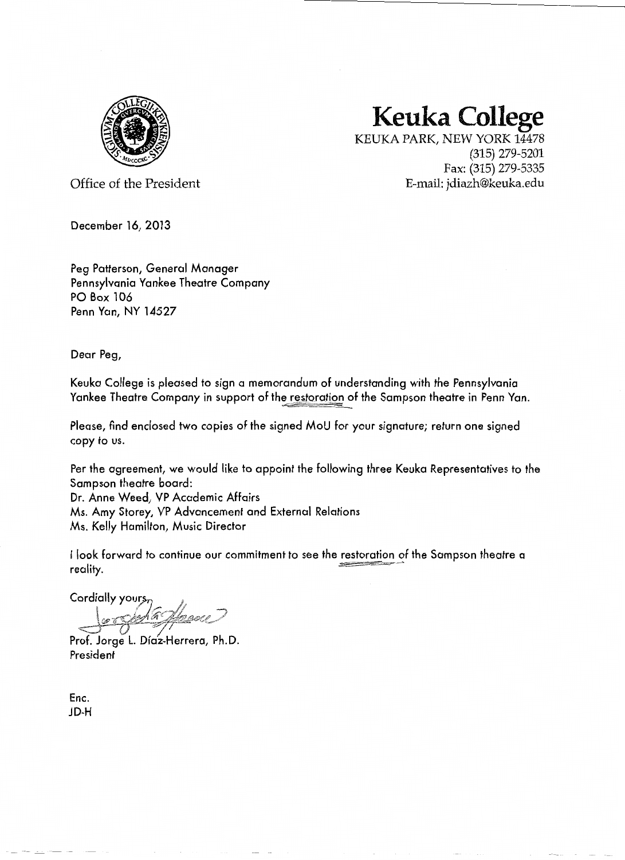

## **Keuka College**

KEUKAPARK, NEW YORK 14478 (315) 279-5201 Fax: (315) 279-5335 E-mail: jdiazh@keuka.edu

Office of the President

December 16, 2013

Peg Patterson, General Manager Pennsylvania Yankee Theatre Company PO Box 106 Penn Yan, NY 14527

Dear Peg,

Keuka College is pleased to sign a memorandum of understanding with the Pennsylvania Yankee Theatre Company in support of the restoration of the Sampson theatre in Penn Yan.

Please, find enclosed two copies of the signed MoU for your signature; return one signed copy to us.

Per the agreement, we would like to appoint the following three Keuka Representatives to the Sampson theatre board:

Dr. Anne Weed, VP Academic Affairs Ms. Amy Storey, VP Advancement and External Relations Ms. Kelly Hamilton, Music Director

I look forward to continue our commitment to see the restoration of the Sampson theatre a  $\blacksquare$   $\blacksquare$   $\blacksquare$   $\blacksquare$   $\blacksquare$   $\blacksquare$   $\blacksquare$   $\blacksquare$   $\blacksquare$   $\blacksquare$   $\blacksquare$   $\blacksquare$   $\blacksquare$   $\blacksquare$   $\blacksquare$   $\blacksquare$   $\blacksquare$   $\blacksquare$   $\blacksquare$   $\blacksquare$   $\blacksquare$   $\blacksquare$   $\blacksquare$   $\blacksquare$   $\blacksquare$   $\blacksquare$   $\blacksquare$   $\blacksquare$   $\blacksquare$   $\blacksquare$   $\blacksquare$   $\blacks$ 

Cordially your

Prof. Jorge L. Díaz-Herrera, Ph.D President

Enc. JD-H